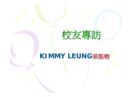

## KIMMY LEUNG梁殷榕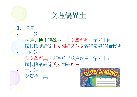

- 1. 獎項
- 中三級
	- 林建忠博士獎學金、英文學科獎、第五十四 屆校際朗誦節中文獨誦及英文獨誦優異(Merit)獎 • 中四級
	- 英文學科獎、班際乒乓球賽冠軍、第五十五 屆校際朗誦節英文獨誦冠軍
	- 中五級 榮譽生金獎

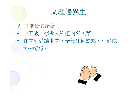

## 2. 其他優異紀錄 • 中五級上學期文科組內名次第一。 • 在文理就讀期間,全無任何缺點、小過或 大過紀錄。

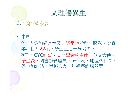

#### 3.五育平衡發展

#### • 中四

全年內參加經常性及非經常性活動、服務、比賽 等項目共22項。學生生活十分精彩。 例子:CYC幹事、英文學會副主席、英文大使、 學生長、圖書館管理員、班代表、地理科科長、 列車加油站,屋邨防火少年精英訓練營等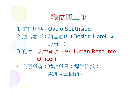職位與工作

#### 1.工作地點:Ovolo Southside

2.酒店類型:精品酒店 (Design Hotel TM 成員。)

3.職位:人力資源主管(Human Resource Officer)

4.主要職責:聘請職員;提供訓練; 處理人事問題。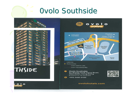# **Ovolo Southside**



 $\circ$   $\circ$ 



ovolohotels.com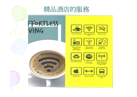# 精品酒店的服務

# FFORTLESS<br>VING



**Free Breakfast** 





**Smoke Free** 



**Free In-room** 

**Mini Bar** 

and Snacks



**Free Social** 

**Happy Hour** 

**Free Superspeed** 

Wi-Fi



Flexible **Check Out** 



**Free Self-laundry** 





**Free Access to Wi-Fi Hotspots Around HK** 



24-hour Gym





**Apple TV** 



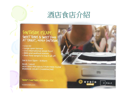# 酒店食店介紹

 $o$   $v$   $o$   $l$   $o$ 

CIRQLE

### SOUTHSIDE ESCAPE. SWEET TUNES & SWEET FOOD

- Live DJ
- · Large open terrace
- . Live international street food
- . BBQ and seafood station
- . Free flow sangria to top it all off

Sat & Sun 12pm - 3:30pm

\$448 / Adult ADD \$150 PER ADULT FOR FREE FLOW **PERRIER-JOUET CHAMPAGNE!** 

THERE'S SOMETHING HAPPENING HERE.

ovolohotels.com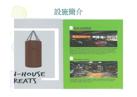



#### **LO LOUNGE**



Ovolo Hotels' signature space for guests to work, mingle, play pool or simply relax with snacks. Take in all-day nibbles and drinks within sleek industrial designs, order something off the bar menu, and return in the evening from 6-8pm for Free Happy Hour!

#### 24-Hour Gym



Keep fit at our 24/7 gym. Fully equipped with cardio, weights, TRX, yoga mats and more. All you need to feel good and look good.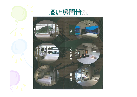



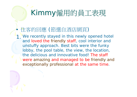# Kimmy僱用的員工表現

### • 住客的回應 (節選自酒店網頁)

1 We recently stayed in this newly opened hotel and loved the friendly staff, cool interior and unstuffy approach. Best bits were the funky lobby, the pool table, the view, the location, the delicious and innovative food! The staff were amazing and managed to be friendly and exceptionally professional at the same time.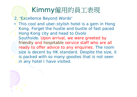# Kimmy僱用的員工表現

- 2. "Excellence Beyond Words"
- This cool and uber-stylish hotel is a gem in Hong Kong. Forget the hustle and bustle of fast paced Hong Kong city and head to Ovolo Southside. Upon arrival, we were greeted by friendly and hospitable service staff who are all ready to offer advice to any enquiries. The room size is decent by HK standard. Despite the size, it is packed with so many goodies that is not seen in any hotel I have visited.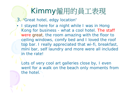# Kimmy僱用的員工表現

3. "Great hotel, edgy location"

I stayed here for a night while I was in Hong Kong for business - what a cool hotel. The staff were great, the room amazing with the floor to ceiling windows, comfy bed and I loved the roof top bar. I really appreciated that wi-fi, breakfast, mini bar, self laundry and more were all included in the rate!

Lots of very cool art galleries close by, I even went for a walk on the beach only moments from the hotel.